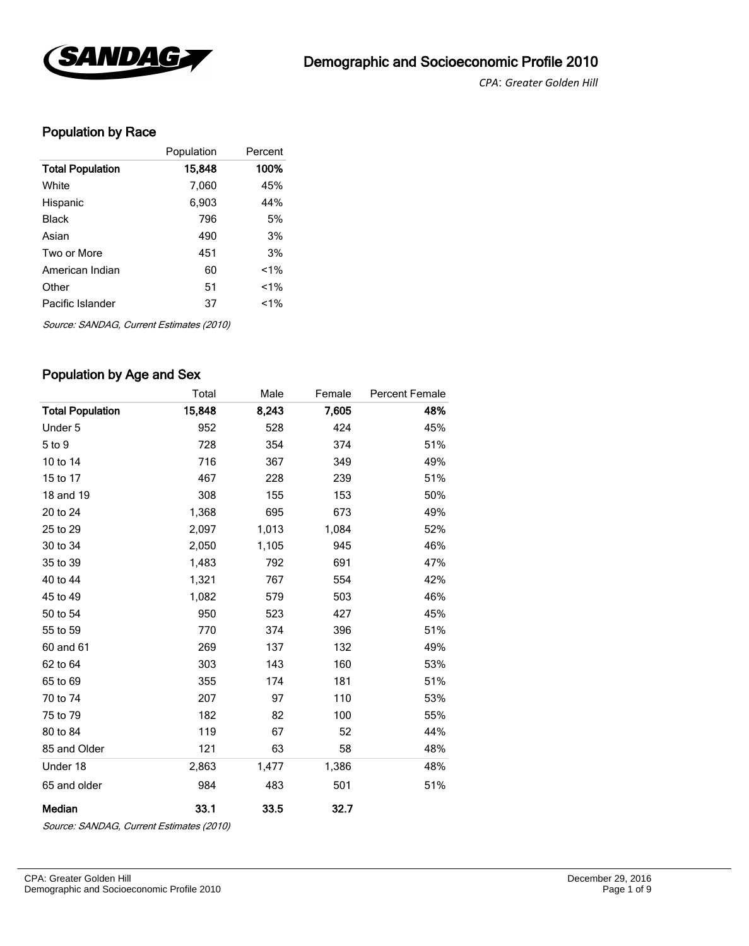

*CPA*: *Greater Golden Hill* 

## Population by Race

|                         | Population | Percent |
|-------------------------|------------|---------|
| <b>Total Population</b> | 15,848     | 100%    |
| White                   | 7,060      | 45%     |
| Hispanic                | 6,903      | 44%     |
| Black                   | 796        | 5%      |
| Asian                   | 490        | 3%      |
| Two or More             | 451        | 3%      |
| American Indian         | 60         | $1\%$   |
| Other                   | 51         | $1\%$   |
| Pacific Islander        | 37         | $1\%$   |
|                         |            |         |

Source: SANDAG, Current Estimates (2010)

### Population by Age and Sex

|                         | Total  | Male  | Female | Percent Female |
|-------------------------|--------|-------|--------|----------------|
| <b>Total Population</b> | 15,848 | 8,243 | 7,605  | 48%            |
| Under 5                 | 952    | 528   | 424    | 45%            |
| 5 to 9                  | 728    | 354   | 374    | 51%            |
| 10 to 14                | 716    | 367   | 349    | 49%            |
| 15 to 17                | 467    | 228   | 239    | 51%            |
| 18 and 19               | 308    | 155   | 153    | 50%            |
| 20 to 24                | 1,368  | 695   | 673    | 49%            |
| 25 to 29                | 2,097  | 1,013 | 1,084  | 52%            |
| 30 to 34                | 2,050  | 1,105 | 945    | 46%            |
| 35 to 39                | 1,483  | 792   | 691    | 47%            |
| 40 to 44                | 1,321  | 767   | 554    | 42%            |
| 45 to 49                | 1,082  | 579   | 503    | 46%            |
| 50 to 54                | 950    | 523   | 427    | 45%            |
| 55 to 59                | 770    | 374   | 396    | 51%            |
| 60 and 61               | 269    | 137   | 132    | 49%            |
| 62 to 64                | 303    | 143   | 160    | 53%            |
| 65 to 69                | 355    | 174   | 181    | 51%            |
| 70 to 74                | 207    | 97    | 110    | 53%            |
| 75 to 79                | 182    | 82    | 100    | 55%            |
| 80 to 84                | 119    | 67    | 52     | 44%            |
| 85 and Older            | 121    | 63    | 58     | 48%            |
| Under 18                | 2,863  | 1,477 | 1,386  | 48%            |
| 65 and older            | 984    | 483   | 501    | 51%            |
| Median                  | 33.1   | 33.5  | 32.7   |                |

Source: SANDAG, Current Estimates (2010)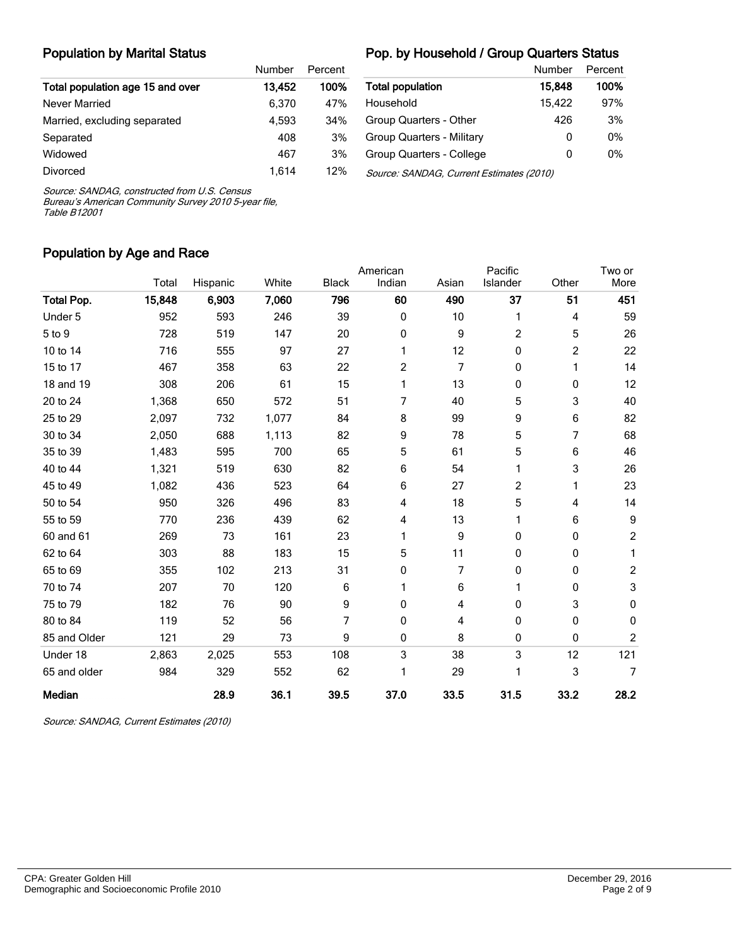#### Population by Marital Status

#### Pop. by Household / Group Quarters Status

|                                  | Number | Percent |                                          | Number | Percent |
|----------------------------------|--------|---------|------------------------------------------|--------|---------|
| Total population age 15 and over | 13.452 | 100%    | <b>Total population</b>                  | 15.848 | 100%    |
| Never Married                    | 6.370  | 47%     | Household                                | 15.422 | 97%     |
| Married, excluding separated     | 4.593  | 34%     | Group Quarters - Other                   | 426    | 3%      |
| Separated                        | 408    | 3%      | Group Quarters - Military                | 0      | 0%      |
| Widowed                          | 467    | 3%      | Group Quarters - College                 | 0      | 0%      |
| <b>Divorced</b>                  | 1.614  | 12%     | Source: SANDAG, Current Estimates (2010) |        |         |

Source: SANDAG, constructed from U.S. Census

Bureau's American Community Survey 2010 5-year file, Table B12001

#### Population by Age and Race

|                   |        |          |       |              | American |       | Pacific  |       | Two or         |
|-------------------|--------|----------|-------|--------------|----------|-------|----------|-------|----------------|
|                   | Total  | Hispanic | White | <b>Black</b> | Indian   | Asian | Islander | Other | More           |
| <b>Total Pop.</b> | 15,848 | 6,903    | 7,060 | 796          | 60       | 490   | 37       | 51    | 451            |
| Under 5           | 952    | 593      | 246   | 39           | 0        | 10    | 1        | 4     | 59             |
| 5 to 9            | 728    | 519      | 147   | 20           | 0        | 9     | 2        | 5     | 26             |
| 10 to 14          | 716    | 555      | 97    | 27           | 1        | 12    | 0        | 2     | 22             |
| 15 to 17          | 467    | 358      | 63    | 22           | 2        | 7     | 0        | 1     | 14             |
| 18 and 19         | 308    | 206      | 61    | 15           | 1        | 13    | 0        | 0     | 12             |
| 20 to 24          | 1,368  | 650      | 572   | 51           | 7        | 40    | 5        | 3     | 40             |
| 25 to 29          | 2,097  | 732      | 1,077 | 84           | 8        | 99    | 9        | 6     | 82             |
| 30 to 34          | 2,050  | 688      | 1,113 | 82           | 9        | 78    | 5        | 7     | 68             |
| 35 to 39          | 1,483  | 595      | 700   | 65           | 5        | 61    | 5        | 6     | 46             |
| 40 to 44          | 1,321  | 519      | 630   | 82           | 6        | 54    | 1        | 3     | 26             |
| 45 to 49          | 1,082  | 436      | 523   | 64           | 6        | 27    | 2        | 1     | 23             |
| 50 to 54          | 950    | 326      | 496   | 83           | 4        | 18    | 5        | 4     | 14             |
| 55 to 59          | 770    | 236      | 439   | 62           | 4        | 13    | 1        | 6     | 9              |
| 60 and 61         | 269    | 73       | 161   | 23           | 1        | 9     | 0        | 0     | $\overline{c}$ |
| 62 to 64          | 303    | 88       | 183   | 15           | 5        | 11    | 0        | 0     | 1              |
| 65 to 69          | 355    | 102      | 213   | 31           | 0        | 7     | 0        | 0     | $\overline{c}$ |
| 70 to 74          | 207    | 70       | 120   | 6            | 1        | 6     | 1        | 0     | 3              |
| 75 to 79          | 182    | 76       | 90    | 9            | 0        | 4     | 0        | 3     | 0              |
| 80 to 84          | 119    | 52       | 56    | 7            | 0        | 4     | 0        | 0     | 0              |
| 85 and Older      | 121    | 29       | 73    | 9            | 0        | 8     | 0        | 0     | $\overline{c}$ |
| Under 18          | 2,863  | 2,025    | 553   | 108          | 3        | 38    | 3        | 12    | 121            |
| 65 and older      | 984    | 329      | 552   | 62           | 1        | 29    | 1        | 3     | $\overline{7}$ |
| Median            |        | 28.9     | 36.1  | 39.5         | 37.0     | 33.5  | 31.5     | 33.2  | 28.2           |

Source: SANDAG, Current Estimates (2010)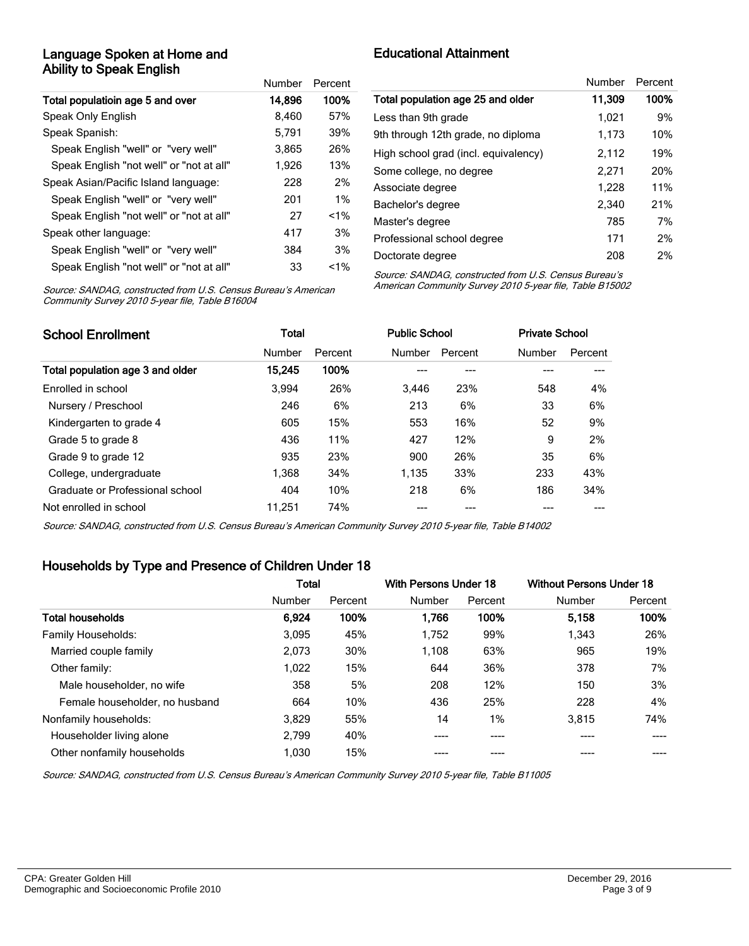#### Language Spoken at Home and Ability to Speak English

|                                          | Number | Percent |
|------------------------------------------|--------|---------|
| Total populatioin age 5 and over         | 14,896 | 100%    |
| Speak Only English                       | 8.460  | 57%     |
| Speak Spanish:                           | 5.791  | 39%     |
| Speak English "well" or "very well"      | 3,865  | 26%     |
| Speak English "not well" or "not at all" | 1,926  | 13%     |
| Speak Asian/Pacific Island language:     | 228    | 2%      |
| Speak English "well" or "very well"      | 201    | $1\%$   |
| Speak English "not well" or "not at all" | 27     | $< 1\%$ |
| Speak other language:                    | 417    | 3%      |
| Speak English "well" or "very well"      | 384    | 3%      |
| Speak English "not well" or "not at all" | 33     | $< 1\%$ |

Educational Attainment

|                                      | Number | Percent |
|--------------------------------------|--------|---------|
| Total population age 25 and older    | 11,309 | 100%    |
| Less than 9th grade                  | 1.021  | 9%      |
| 9th through 12th grade, no diploma   | 1,173  | 10%     |
| High school grad (incl. equivalency) | 2,112  | 19%     |
| Some college, no degree              | 2,271  | 20%     |
| Associate degree                     | 1,228  | 11%     |
| Bachelor's degree                    | 2.340  | 21%     |
| Master's degree                      | 785    | 7%      |
| Professional school degree           | 171    | 2%      |
| Doctorate degree                     | 208    | 2%      |

Source: SANDAG, constructed from U.S. Census Bureau's American Community Survey 2010 5-year file, Table B16004

Source: SANDAG, constructed from U.S. Census Bureau's American Community Survey 2010 5-year file, Table B15002

| <b>School Enrollment</b>         | Total  |         |        | <b>Public School</b> |        | <b>Private School</b> |  |
|----------------------------------|--------|---------|--------|----------------------|--------|-----------------------|--|
|                                  | Number | Percent | Number | Percent              | Number | Percent               |  |
| Total population age 3 and older | 15,245 | 100%    |        |                      |        |                       |  |
| Enrolled in school               | 3.994  | 26%     | 3.446  | 23%                  | 548    | 4%                    |  |
| Nursery / Preschool              | 246    | 6%      | 213    | 6%                   | 33     | 6%                    |  |
| Kindergarten to grade 4          | 605    | 15%     | 553    | 16%                  | 52     | 9%                    |  |
| Grade 5 to grade 8               | 436    | 11%     | 427    | 12%                  | 9      | 2%                    |  |
| Grade 9 to grade 12              | 935    | 23%     | 900    | 26%                  | 35     | 6%                    |  |
| College, undergraduate           | 1.368  | 34%     | 1,135  | 33%                  | 233    | 43%                   |  |
| Graduate or Professional school  | 404    | 10%     | 218    | 6%                   | 186    | 34%                   |  |
| Not enrolled in school           | 11.251 | 74%     |        |                      |        |                       |  |

Source: SANDAG, constructed from U.S. Census Bureau's American Community Survey 2010 5-year file, Table B14002

### Households by Type and Presence of Children Under 18

|                                | <b>Total</b> |         | With Persons Under 18 |         | <b>Without Persons Under 18</b> |         |
|--------------------------------|--------------|---------|-----------------------|---------|---------------------------------|---------|
|                                | Number       | Percent | Number                | Percent | Number                          | Percent |
| <b>Total households</b>        | 6,924        | 100%    | 1.766                 | 100%    | 5.158                           | 100%    |
| Family Households:             | 3,095        | 45%     | 1,752                 | 99%     | 1,343                           | 26%     |
| Married couple family          | 2,073        | 30%     | 1,108                 | 63%     | 965                             | 19%     |
| Other family:                  | 1,022        | 15%     | 644                   | 36%     | 378                             | 7%      |
| Male householder, no wife      | 358          | 5%      | 208                   | 12%     | 150                             | 3%      |
| Female householder, no husband | 664          | 10%     | 436                   | 25%     | 228                             | 4%      |
| Nonfamily households:          | 3,829        | 55%     | 14                    | 1%      | 3,815                           | 74%     |
| Householder living alone       | 2,799        | 40%     | ----                  | ----    |                                 |         |
| Other nonfamily households     | 1,030        | 15%     |                       |         |                                 |         |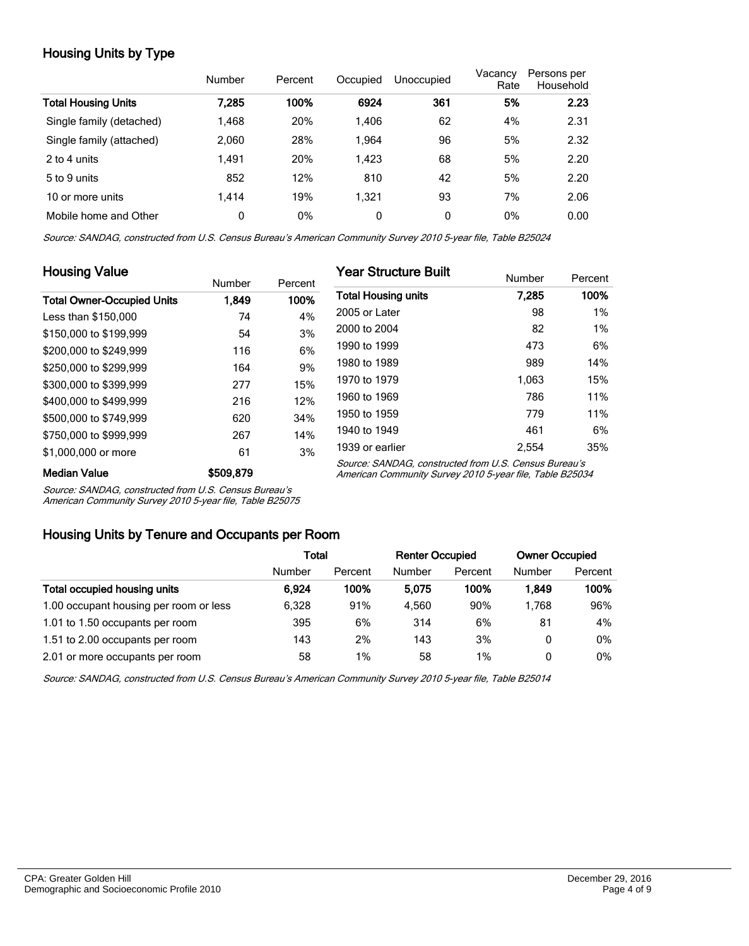## Housing Units by Type

|                            | Number | Percent | Occupied     | Unoccupied | Vacancy<br>Rate | Persons per<br>Household |
|----------------------------|--------|---------|--------------|------------|-----------------|--------------------------|
| <b>Total Housing Units</b> | 7.285  | 100%    | 6924         | 361        | 5%              | 2.23                     |
| Single family (detached)   | 1,468  | 20%     | 1.406        | 62         | 4%              | 2.31                     |
| Single family (attached)   | 2,060  | 28%     | 1.964        | 96         | 5%              | 2.32                     |
| 2 to 4 units               | 1.491  | 20%     | 1.423        | 68         | 5%              | 2.20                     |
| 5 to 9 units               | 852    | 12%     | 810          | 42         | 5%              | 2.20                     |
| 10 or more units           | 1.414  | 19%     | 1.321        | 93         | 7%              | 2.06                     |
| Mobile home and Other      | 0      | 0%      | $\mathbf{0}$ | 0          | 0%              | 0.00                     |

Source: SANDAG, constructed from U.S. Census Bureau's American Community Survey 2010 5-year file, Table B25024

| <b>Housing Value</b>              |           |         | <b>Year Structure Built</b>                                                                                       |        |         |  |  |
|-----------------------------------|-----------|---------|-------------------------------------------------------------------------------------------------------------------|--------|---------|--|--|
|                                   | Number    | Percent |                                                                                                                   | Number | Percent |  |  |
| <b>Total Owner-Occupied Units</b> | 1.849     | 100%    | <b>Total Housing units</b>                                                                                        | 7.285  | 100%    |  |  |
| Less than \$150,000               | 74        | 4%      | 2005 or Later                                                                                                     | 98     | 1%      |  |  |
| \$150,000 to \$199,999            | 54        | 3%      | 2000 to 2004                                                                                                      | 82     | $1\%$   |  |  |
| \$200,000 to \$249.999            | 116       | 6%      | 1990 to 1999                                                                                                      | 473    | 6%      |  |  |
| \$250,000 to \$299.999            | 164       | 9%      | 1980 to 1989                                                                                                      | 989    | 14%     |  |  |
| \$300,000 to \$399,999            | 277       | 15%     | 1970 to 1979                                                                                                      | 1,063  | 15%     |  |  |
| \$400,000 to \$499,999            | 216       | 12%     | 1960 to 1969                                                                                                      | 786    | 11%     |  |  |
| \$500,000 to \$749,999            | 620       | 34%     | 1950 to 1959                                                                                                      | 779    | 11%     |  |  |
| \$750,000 to \$999,999            | 267       | 14%     | 1940 to 1949                                                                                                      | 461    | 6%      |  |  |
| \$1,000,000 or more               | 61        | 3%      | 1939 or earlier                                                                                                   | 2.554  | 35%     |  |  |
| <b>Median Value</b>               | \$509,879 |         | Source: SANDAG, constructed from U.S. Census Bureau's<br>American Community Survey 2010 5-year file, Table B25034 |        |         |  |  |

Source: SANDAG, constructed from U.S. Census Bureau's

American Community Survey 2010 5-year file, Table B25075

#### Housing Units by Tenure and Occupants per Room

|                                        | Total  |         | <b>Renter Occupied</b> |         | <b>Owner Occupied</b> |         |
|----------------------------------------|--------|---------|------------------------|---------|-----------------------|---------|
|                                        | Number | Percent | Number                 | Percent | Number                | Percent |
| Total occupied housing units           | 6.924  | 100%    | 5.075                  | 100%    | 1.849                 | 100%    |
| 1.00 occupant housing per room or less | 6.328  | 91%     | 4.560                  | 90%     | 1.768                 | 96%     |
| 1.01 to 1.50 occupants per room        | 395    | 6%      | 314                    | 6%      | 81                    | 4%      |
| 1.51 to 2.00 occupants per room        | 143    | 2%      | 143                    | 3%      | 0                     | 0%      |
| 2.01 or more occupants per room        | 58     | 1%      | 58                     | $1\%$   | 0                     | 0%      |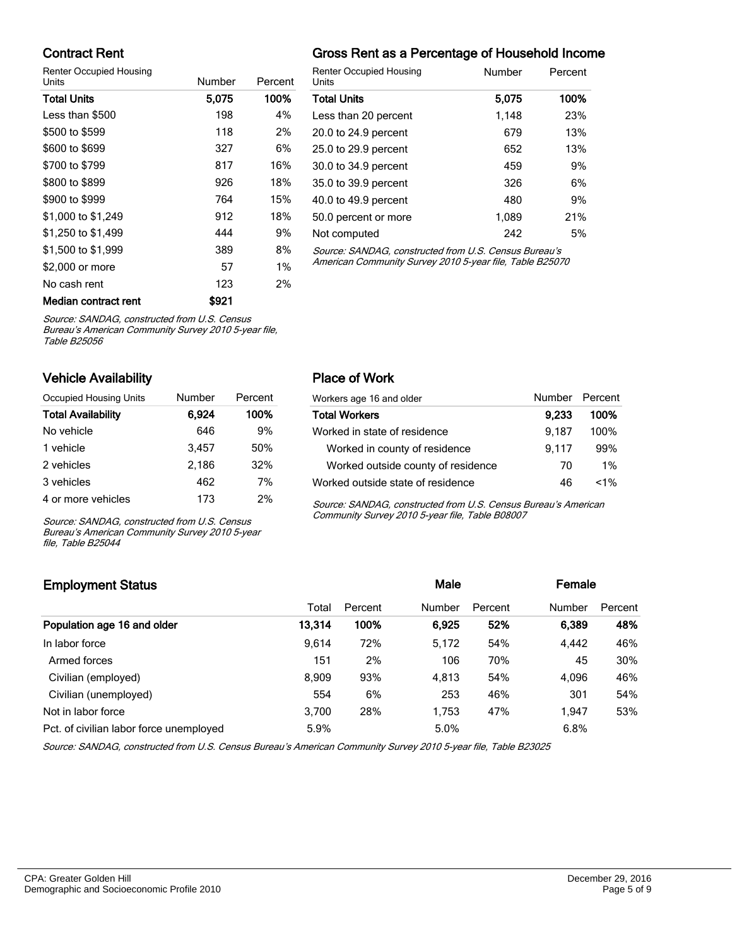### Contract Rent

Renter Occupied Housing

| <b>Units</b>         | Number | Percent |   |
|----------------------|--------|---------|---|
| <b>Total Units</b>   | 5,075  | 100%    | ٦ |
| Less than \$500      | 198    | 4%      | L |
| \$500 to \$599       | 118    | 2%      | 2 |
| \$600 to \$699       | 327    | 6%      | 2 |
| \$700 to \$799       | 817    | 16%     | 3 |
| \$800 to \$899       | 926    | 18%     | 3 |
| \$900 to \$999       | 764    | 15%     | 4 |
| \$1,000 to \$1,249   | 912    | 18%     | 5 |
| \$1,250 to \$1,499   | 444    | 9%      | N |
| \$1,500 to \$1,999   | 389    | 8%      | ś |
| \$2,000 or more      | 57     | 1%      | P |
| No cash rent         | 123    | 2%      |   |
| Median contract rent | \$921  |         |   |

## Gross Rent as a Percentage of Household Income

| <b>Renter Occupied Housing</b><br>Units               | Number | Percent |
|-------------------------------------------------------|--------|---------|
| <b>Total Units</b>                                    | 5,075  | 100%    |
| Less than 20 percent                                  | 1,148  | 23%     |
| 20.0 to 24.9 percent                                  | 679    | 13%     |
| 25.0 to 29.9 percent                                  | 652    | 13%     |
| 30.0 to 34.9 percent                                  | 459    | 9%      |
| 35.0 to 39.9 percent                                  | 326    | 6%      |
| 40.0 to 49.9 percent                                  | 480    | 9%      |
| 50.0 percent or more                                  | 1,089  | 21%     |
| Not computed                                          | 242    | 5%      |
| Source: SANDAG, constructed from U.S. Census Bureau's |        |         |

Source: SANDAG, constructed from U.S. Census Bureau's American Community Survey 2010 5-year file, Table B25070

Source: SANDAG, constructed from U.S. Census

Bureau's American Community Survey 2010 5-year file, Table B25056

#### Vehicle Availability

| Occupied Housing Units    | Number | Percent |
|---------------------------|--------|---------|
| <b>Total Availability</b> | 6,924  | 100%    |
| No vehicle                | 646    | 9%      |
| 1 vehicle                 | 3.457  | 50%     |
| 2 vehicles                | 2,186  | 32%     |
| 3 vehicles                | 462    | 7%      |
| 4 or more vehicles        | 173    | 2%      |

Source: SANDAG, constructed from U.S. Census Bureau's American Community Survey 2010 5-year file, Table B25044

#### Place of Work

| Workers age 16 and older           | Number Percent |         |
|------------------------------------|----------------|---------|
| <b>Total Workers</b>               | 9,233          | 100%    |
| Worked in state of residence       | 9.187          | 100%    |
| Worked in county of residence      | 9.117          | 99%     |
| Worked outside county of residence | 70             | 1%      |
| Worked outside state of residence  | 46             | $< 1\%$ |

Source: SANDAG, constructed from U.S. Census Bureau's American Community Survey 2010 5-year file, Table B08007

## Employment Status **Employment Status Male Employment Status Male Employment Status Male Employment Status** Total Percent Number Percent Number Percent Population age 16 and older 13,314 100% 6,925 52% 6,389 48% In labor force 9,614 72% 5,172 54% 4,442 46% Armed forces 2% 151 2% 106 70% 45 30% Civilian (employed) 8,909 93% 4,813 54% 4,096 46% Civilian (unemployed) 554 6% 253 46% 301 54% Not in labor force **1.2.3 a.g.** 3,700 28% 1,753 47% 1,947 53% Pct. of civilian labor force unemployed 5.9% 5.0% 5.0% 6.8% 6.8%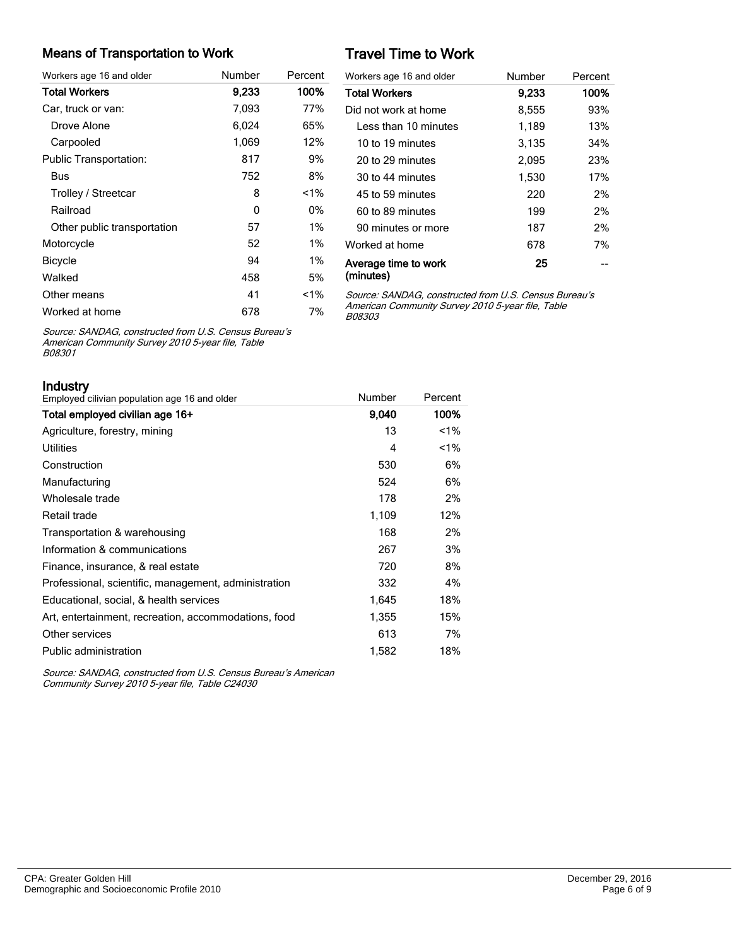#### Means of Transportation to Work

| Workers age 16 and older      | Number | Percent |
|-------------------------------|--------|---------|
| <b>Total Workers</b>          | 9,233  | 100%    |
| Car, truck or van:            | 7,093  | 77%     |
| Drove Alone                   | 6,024  | 65%     |
| Carpooled                     | 1,069  | 12%     |
| <b>Public Transportation:</b> | 817    | 9%      |
| Bus                           | 752    | 8%      |
| Trolley / Streetcar           | 8      | $1\%$   |
| Railroad                      | 0      | 0%      |
| Other public transportation   | 57     | $1\%$   |
| Motorcycle                    | 52     | $1\%$   |
| Bicycle                       | 94     | $1\%$   |
| Walked                        | 458    | 5%      |
| Other means                   | 41     | $1\%$   |
| Worked at home                | 678    | 7%      |

# Travel Time to Work

| Workers age 16 and older          | Number | Percent |
|-----------------------------------|--------|---------|
| <b>Total Workers</b>              | 9.233  | 100%    |
| Did not work at home              | 8,555  | 93%     |
| I ess than 10 minutes             | 1,189  | 13%     |
| 10 to 19 minutes                  | 3,135  | 34%     |
| 20 to 29 minutes                  | 2,095  | 23%     |
| 30 to 44 minutes                  | 1,530  | 17%     |
| 45 to 59 minutes                  | 220    | 2%      |
| 60 to 89 minutes                  | 199    | 2%      |
| 90 minutes or more                | 187    | 2%      |
| Worked at home                    | 678    | 7%      |
| Average time to work<br>(minutes) | 25     |         |

Source: SANDAG, constructed from U.S. Census Bureau's American Community Survey 2010 5-year file, Table B08303

Source: SANDAG, constructed from U.S. Census Bureau's American Community Survey 2010 5-year file, Table B08301

Industry

| II IUUSU Y<br>Employed cilivian population age 16 and older | Number | Percent |
|-------------------------------------------------------------|--------|---------|
| Total employed civilian age 16+                             | 9,040  | 100%    |
| Agriculture, forestry, mining                               | 13     | $1\%$   |
| <b>Utilities</b>                                            | 4      | $1\%$   |
| Construction                                                | 530    | 6%      |
| Manufacturing                                               | 524    | 6%      |
| Wholesale trade                                             | 178    | 2%      |
| Retail trade                                                | 1,109  | 12%     |
| Transportation & warehousing                                | 168    | 2%      |
| Information & communications                                | 267    | 3%      |
| Finance, insurance, & real estate                           | 720    | 8%      |
| Professional, scientific, management, administration        | 332    | 4%      |
| Educational, social, & health services                      | 1,645  | 18%     |
| Art, entertainment, recreation, accommodations, food        | 1,355  | 15%     |
| Other services                                              | 613    | 7%      |
| Public administration                                       | 1,582  | 18%     |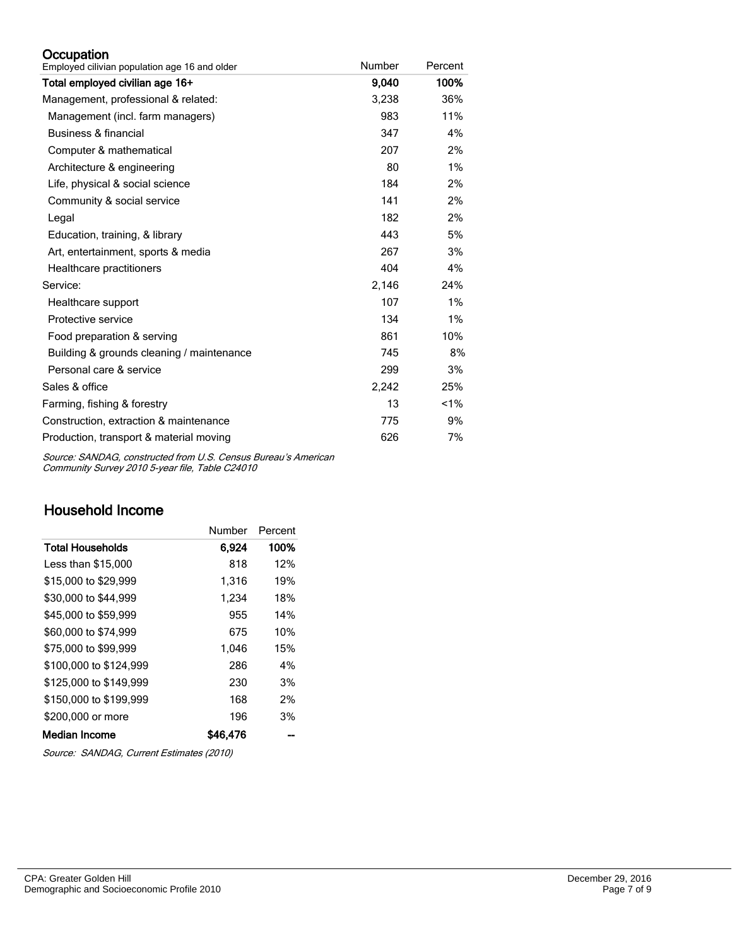#### **Occupation**

| Employed cilivian population age 16 and older | Number | Percent |
|-----------------------------------------------|--------|---------|
| Total employed civilian age 16+               | 9,040  | 100%    |
| Management, professional & related:           | 3,238  | 36%     |
| Management (incl. farm managers)              | 983    | 11%     |
| Business & financial                          | 347    | 4%      |
| Computer & mathematical                       | 207    | 2%      |
| Architecture & engineering                    | 80     | 1%      |
| Life, physical & social science               | 184    | 2%      |
| Community & social service                    | 141    | 2%      |
| Legal                                         | 182    | 2%      |
| Education, training, & library                | 443    | 5%      |
| Art, entertainment, sports & media            | 267    | 3%      |
| Healthcare practitioners                      | 404    | 4%      |
| Service:                                      | 2,146  | 24%     |
| Healthcare support                            | 107    | 1%      |
| Protective service                            | 134    | 1%      |
| Food preparation & serving                    | 861    | 10%     |
| Building & grounds cleaning / maintenance     | 745    | 8%      |
| Personal care & service                       | 299    | 3%      |
| Sales & office                                | 2,242  | 25%     |
| Farming, fishing & forestry                   | 13     | 1%      |
| Construction, extraction & maintenance        | 775    | 9%      |
| Production, transport & material moving       | 626    | 7%      |

Source: SANDAG, constructed from U.S. Census Bureau's American Community Survey 2010 5-year file, Table C24010

# Household Income

|                         | Number   | Percent |
|-------------------------|----------|---------|
| <b>Total Households</b> | 6.924    | 100%    |
| Less than \$15,000      | 818      | 12%     |
| \$15,000 to \$29,999    | 1,316    | 19%     |
| \$30,000 to \$44,999    | 1,234    | 18%     |
| \$45,000 to \$59,999    | 955      | 14%     |
| \$60,000 to \$74,999    | 675      | 10%     |
| \$75,000 to \$99.999    | 1.046    | 15%     |
| \$100,000 to \$124.999  | 286      | 4%      |
| \$125,000 to \$149.999  | 230      | 3%      |
| \$150,000 to \$199.999  | 168      | 2%      |
| \$200,000 or more       | 196      | 3%      |
| Median Income           | \$46.476 |         |

Source: SANDAG, Current Estimates (2010)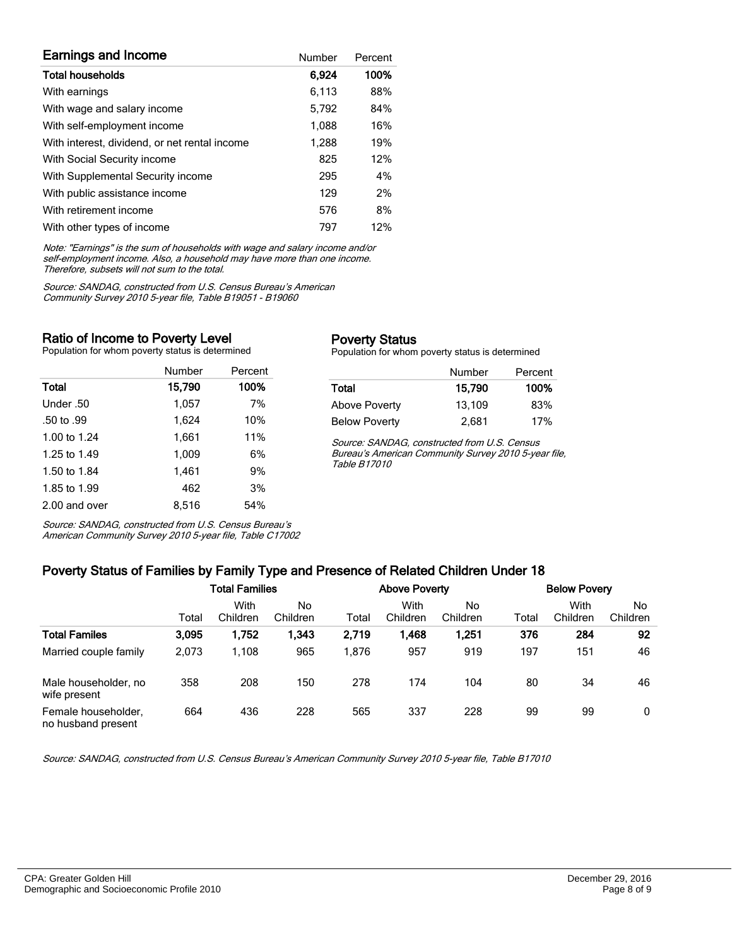| <b>Earnings and Income</b>                    | Number | Percent |
|-----------------------------------------------|--------|---------|
| <b>Total households</b>                       | 6,924  | 100%    |
| With earnings                                 | 6.113  | 88%     |
| With wage and salary income                   | 5,792  | 84%     |
| With self-employment income                   | 1,088  | 16%     |
| With interest, dividend, or net rental income | 1,288  | 19%     |
| With Social Security income                   | 825    | 12%     |
| With Supplemental Security income             | 295    | 4%      |
| With public assistance income                 | 129    | 2%      |
| With retirement income                        | 576    | 8%      |
| With other types of income                    | 797    | 12%     |

Note: "Earnings" is the sum of households with wage and salary income and/or self-employment income. Also, a household may have more than one income. Therefore, subsets will not sum to the total.

Source: SANDAG, constructed from U.S. Census Bureau's American Community Survey 2010 5-year file, Table B19051 - B19060

#### Ratio of Income to Poverty Level

Population for whom poverty status is determined

|               | Number | Percent |
|---------------|--------|---------|
| Total         | 15,790 | 100%    |
| Under .50     | 1,057  | 7%      |
| .50 to .99    | 1.624  | 10%     |
| 1.00 to 1.24  | 1,661  | 11%     |
| 1.25 to 1.49  | 1,009  | 6%      |
| 1.50 to 1.84  | 1,461  | 9%      |
| 1.85 to 1.99  | 462    | 3%      |
| 2.00 and over | 8.516  | 54%     |

Source: SANDAG, constructed from U.S. Census Bureau's American Community Survey 2010 5-year file, Table C17002

#### Poverty Status

Population for whom poverty status is determined

|                      | Number | Percent |
|----------------------|--------|---------|
| Total                | 15.790 | 100%    |
| <b>Above Poverty</b> | 13,109 | 83%     |
| <b>Below Poverty</b> | 2,681  | 17%     |

Source: SANDAG, constructed from U.S. Census Bureau's American Community Survey 2010 5-year file, Table B17010

# Poverty Status of Families by Family Type and Presence of Related Children Under 18

| -                                         | . .   |                       | .              |       |                      |                |       |                     |                |
|-------------------------------------------|-------|-----------------------|----------------|-------|----------------------|----------------|-------|---------------------|----------------|
|                                           |       | <b>Total Families</b> |                |       | <b>Above Poverty</b> |                |       | <b>Below Povery</b> |                |
|                                           | Total | With<br>Children      | No<br>Children | Total | With<br>Children     | No<br>Children | Total | With<br>Children    | No<br>Children |
| <b>Total Familes</b>                      | 3,095 | 1,752                 | 1.343          | 2,719 | 1,468                | 1,251          | 376   | 284                 | 92             |
| Married couple family                     | 2,073 | 1.108                 | 965            | 1.876 | 957                  | 919            | 197   | 151                 | 46             |
| Male householder, no<br>wife present      | 358   | 208                   | 150            | 278   | 174                  | 104            | 80    | 34                  | 46             |
| Female householder,<br>no husband present | 664   | 436                   | 228            | 565   | 337                  | 228            | 99    | 99                  | 0              |